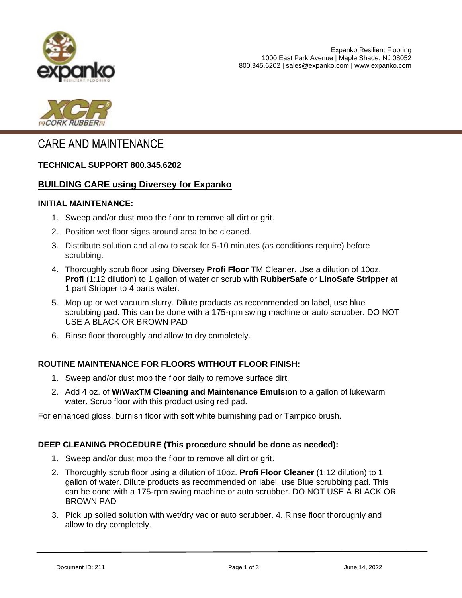



# CARE AND MAINTENANCE

### **TECHNICAL SUPPORT 800.345.6202**

### **BUILDING CARE using Diversey for Expanko**

#### **INITIAL MAINTENANCE:**

- 1. Sweep and/or dust mop the floor to remove all dirt or grit.
- 2. Position wet floor signs around area to be cleaned.
- 3. Distribute solution and allow to soak for 5-10 minutes (as conditions require) before scrubbing.
- 4. Thoroughly scrub floor using Diversey **Profi Floor** TM Cleaner. Use a dilution of 10oz. **Profi** (1:12 dilution) to 1 gallon of water or scrub with **RubberSafe** or **LinoSafe Stripper** at 1 part Stripper to 4 parts water.
- 5. Mop up or wet vacuum slurry. Dilute products as recommended on label, use blue scrubbing pad. This can be done with a 175-rpm swing machine or auto scrubber. DO NOT USE A BLACK OR BROWN PAD
- 6. Rinse floor thoroughly and allow to dry completely.

### **ROUTINE MAINTENANCE FOR FLOORS WITHOUT FLOOR FINISH:**

- 1. Sweep and/or dust mop the floor daily to remove surface dirt.
- 2. Add 4 oz. of **WiWaxTM Cleaning and Maintenance Emulsion** to a gallon of lukewarm water. Scrub floor with this product using red pad.

For enhanced gloss, burnish floor with soft white burnishing pad or Tampico brush.

#### **DEEP CLEANING PROCEDURE (This procedure should be done as needed):**

- 1. Sweep and/or dust mop the floor to remove all dirt or grit.
- 2. Thoroughly scrub floor using a dilution of 10oz. **Profi Floor Cleaner** (1:12 dilution) to 1 gallon of water. Dilute products as recommended on label, use Blue scrubbing pad. This can be done with a 175-rpm swing machine or auto scrubber. DO NOT USE A BLACK OR BROWN PAD
- 3. Pick up soiled solution with wet/dry vac or auto scrubber. 4. Rinse floor thoroughly and allow to dry completely.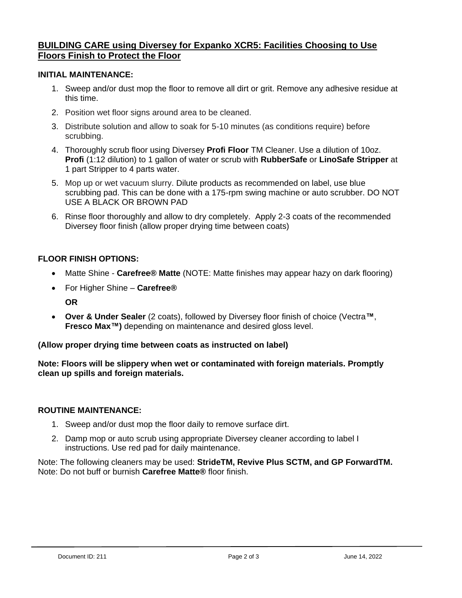## **BUILDING CARE using Diversey for Expanko XCR5: Facilities Choosing to Use Floors Finish to Protect the Floor**

### **INITIAL MAINTENANCE:**

- 1. Sweep and/or dust mop the floor to remove all dirt or grit. Remove any adhesive residue at this time.
- 2. Position wet floor signs around area to be cleaned.
- 3. Distribute solution and allow to soak for 5-10 minutes (as conditions require) before scrubbing.
- 4. Thoroughly scrub floor using Diversey **Profi Floor** TM Cleaner. Use a dilution of 10oz. **Profi** (1:12 dilution) to 1 gallon of water or scrub with **RubberSafe** or **LinoSafe Stripper** at 1 part Stripper to 4 parts water.
- 5. Mop up or wet vacuum slurry. Dilute products as recommended on label, use blue scrubbing pad. This can be done with a 175-rpm swing machine or auto scrubber. DO NOT USE A BLACK OR BROWN PAD
- 6. Rinse floor thoroughly and allow to dry completely. Apply 2-3 coats of the recommended Diversey floor finish (allow proper drying time between coats)

### **FLOOR FINISH OPTIONS:**

- Matte Shine **Carefree® Matte** (NOTE: Matte finishes may appear hazy on dark flooring)
- For Higher Shine **Carefree® OR**
- **Over & Under Sealer** (2 coats), followed by Diversey floor finish of choice (Vectra**™**, **Fresco Max™)** depending on maintenance and desired gloss level.

### **(Allow proper drying time between coats as instructed on label)**

**Note: Floors will be slippery when wet or contaminated with foreign materials. Promptly clean up spills and foreign materials.**

### **ROUTINE MAINTENANCE:**

- 1. Sweep and/or dust mop the floor daily to remove surface dirt.
- 2. Damp mop or auto scrub using appropriate Diversey cleaner according to label I instructions. Use red pad for daily maintenance.

Note: The following cleaners may be used: **StrideTM, Revive Plus SCTM, and GP ForwardTM.**  Note: Do not buff or burnish **Carefree Matte®** floor finish.